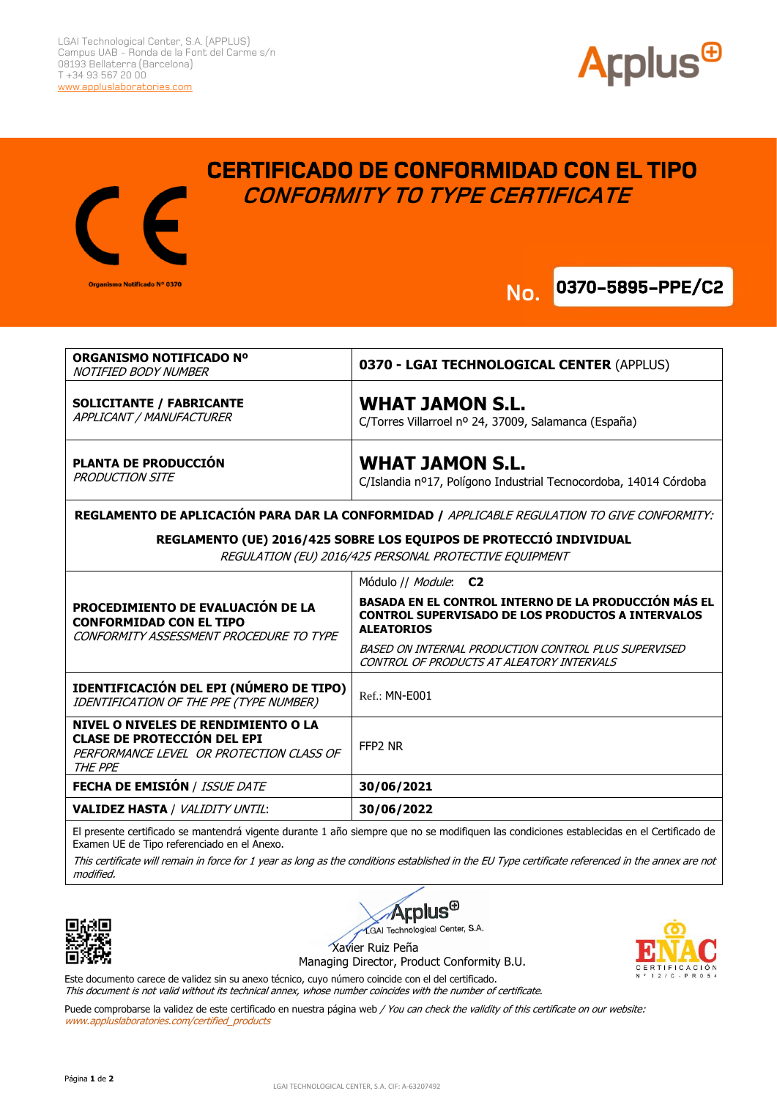

**0370-5895-PPE/C2 No.**



## **CERTIFICADO DE CONFORMIDAD CON EL TIPO CONFORMITY TO TYPE CERTIFICATE**



**REGLAMENTO DE APLICACIÓN PARA DAR LA CONFORMIDAD /** APPLICABLE REGULATION TO GIVE CONFORMITY:

## **REGLAMENTO (UE) 2016/425 SOBRE LOS EQUIPOS DE PROTECCIÓ INDIVIDUAL**

REGULATION (EU) 2016/425 PERSONAL PROTECTIVE EQUIPMENT

|                                                                                                                                  | Módulo // <i>Module</i> : C2                                                                                                                 |
|----------------------------------------------------------------------------------------------------------------------------------|----------------------------------------------------------------------------------------------------------------------------------------------|
| PROCEDIMIENTO DE EVALUACIÓN DE LA<br><b>CONFORMIDAD CON EL TIPO</b><br>CONFORMITY ASSESSMENT PROCEDURE TO TYPE                   | <b>BASADA EN EL CONTROL INTERNO DE LA PRODUCCIÓN MÁS EL</b><br><b>CONTROL SUPERVISADO DE LOS PRODUCTOS A INTERVALOS</b><br><b>ALEATORIOS</b> |
|                                                                                                                                  | BASED ON INTERNAL PRODUCTION CONTROL PLUS SUPERVISED<br>CONTROL OF PRODUCTS AT ALEATORY INTERVALS                                            |
| <b>IDENTIFICACIÓN DEL EPI (NÚMERO DE TIPO)</b><br>IDENTIFICATION OF THE PPE (TYPE NUMBER)                                        | <b>Ref.: MN-E001</b>                                                                                                                         |
| NIVEL O NIVELES DE RENDIMIENTO O LA<br><b>CLASE DE PROTECCIÓN DEL EPI</b><br>PERFORMANCE LEVEL OR PROTECTION CLASS OF<br>THE PPE | FFP2 NR                                                                                                                                      |
| <b>FECHA DE EMISIÓN / ISSUE DATE</b>                                                                                             | 30/06/2021                                                                                                                                   |
| <b>VALIDEZ HASTA / VALIDITY UNTIL:</b>                                                                                           | 30/06/2022                                                                                                                                   |

El presente certificado se mantendrá vigente durante 1 año siempre que no se modifiquen las condiciones establecidas en el Certificado de Examen UE de Tipo referenciado en el Anexo.

This certificate will remain in force for 1 year as long as the conditions established in the EU Type certificate referenced in the annex are not modified.







Xavier Ruiz Peña

Managing Director, Product Conformity B.U.

Este documento carece de validez sin su anexo técnico, cuyo número coincide con el del certificado. This document is not valid without its technical annex, whose number coincides with the number of certificate.

Puede comprobarse la validez de este certificado en nuestra página web / You can check the validity of this certificate on our website: www.appluslaboratories.com/certified\_products